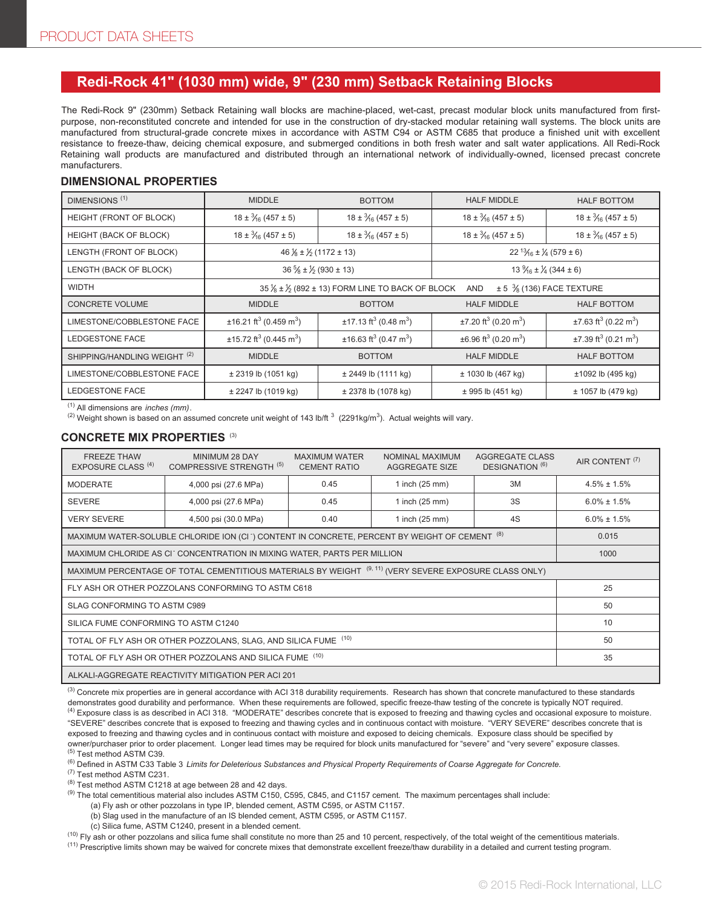## **Redi-Rock 41" (1030 mm) wide, 9" (230 mm) Setback Retaining Blocks**

The Redi-Rock 9" (230mm) Setback Retaining wall blocks are machine-placed, wet-cast, precast modular block units manufactured from firstpurpose, non-reconstituted concrete and intended for use in the construction of dry-stacked modular retaining wall systems. The block units are manufactured from structural-grade concrete mixes in accordance with ASTM C94 or ASTM C685 that produce a finished unit with excellent resistance to freeze-thaw, deicing chemical exposure, and submerged conditions in both fresh water and salt water applications. All Redi-Rock Retaining wall products are manufactured and distributed through an international network of individually-owned, licensed precast concrete manufacturers.

### **DIMENSIONAL PROPERTIES**

| DIMENSIONS <sup>(1)</sup>               | <b>MIDDLE</b>                                                                                                            | <b>BOTTOM</b>                                   | <b>HALF MIDDLE</b>                                | <b>HALF BOTTOM</b>                             |  |
|-----------------------------------------|--------------------------------------------------------------------------------------------------------------------------|-------------------------------------------------|---------------------------------------------------|------------------------------------------------|--|
| HEIGHT (FRONT OF BLOCK)                 | $18 \pm \frac{3}{6}$ (457 ± 5)                                                                                           | $18 \pm \frac{3}{16} (457 \pm 5)$               | $18 \pm \frac{3}{16} (457 \pm 5)$                 | $18 \pm \frac{3}{16} (457 \pm 5)$              |  |
| HEIGHT (BACK OF BLOCK)                  | $18 \pm \frac{3}{16} (457 \pm 5)$                                                                                        | $18 \pm \frac{3}{16} (457 \pm 5)$               | $18 \pm \frac{3}{16} (457 \pm 5)$                 | $18 \pm \frac{3}{16} (457 \pm 5)$              |  |
| LENGTH (FRONT OF BLOCK)                 | $46\frac{1}{8} \pm \frac{1}{2}$ (1172 ± 13)                                                                              |                                                 | $22^{13}/_{16} \pm \frac{1}{4} (579 \pm 6)$       |                                                |  |
| LENGTH (BACK OF BLOCK)                  | $36\frac{5}{8} \pm \frac{1}{2}$ (930 ± 13)                                                                               |                                                 | $13\frac{9}{16} \pm \frac{1}{4} (344 \pm 6)$      |                                                |  |
| <b>WIDTH</b>                            | $35\frac{1}{8} \pm \frac{1}{2}$ (892 ± 13) FORM LINE TO BACK OF BLOCK<br>$\pm$ 5 $\frac{3}{8}$ (136) FACE TEXTURE<br>AND |                                                 |                                                   |                                                |  |
| <b>CONCRETE VOLUME</b>                  | <b>MIDDLE</b>                                                                                                            | <b>BOTTOM</b>                                   | <b>HALF MIDDLE</b>                                | <b>HALF BOTTOM</b>                             |  |
| LIMESTONE/COBBLESTONE FACE              | $\pm$ 16.21 ft <sup>3</sup> (0.459 m <sup>3</sup> )                                                                      | $±17.13 \text{ ft}^3 (0.48 \text{ m}^3)$        | $±7.20$ ft <sup>3</sup> (0.20 m <sup>3</sup> )    | $±7.63$ ft <sup>3</sup> (0.22 m <sup>3</sup> ) |  |
| LEDGESTONE FACE                         | $\pm$ 15.72 ft <sup>3</sup> (0.445 m <sup>3</sup> )                                                                      | $±16.63$ ft <sup>3</sup> (0.47 m <sup>3</sup> ) | $\pm 6.96$ ft <sup>3</sup> (0.20 m <sup>3</sup> ) | $±7.39$ ft <sup>3</sup> (0.21 m <sup>3</sup> ) |  |
| SHIPPING/HANDLING WEIGHT <sup>(2)</sup> | <b>MIDDLE</b>                                                                                                            | <b>BOTTOM</b>                                   | <b>HALF MIDDLE</b>                                | <b>HALF BOTTOM</b>                             |  |
| LIMESTONE/COBBLESTONE FACE              | $± 2319$ lb (1051 kg)                                                                                                    | ± 2449 lb (1111 kg)                             | ± 1030 lb (467 kg)                                | ±1092 lb (495 kg)                              |  |
| LEDGESTONE FACE                         | $\pm$ 2247 lb (1019 kg)                                                                                                  | $\pm$ 2378 lb (1078 kg)                         | $± 995$ lb (451 kg)                               | $± 1057$ lb (479 kg)                           |  |

(1) All dimensions are *inches (mm)*.

<sup>(2)</sup> Weight shown is based on an assumed concrete unit weight of 143 lb/ft  $^3$  (2291kg/m $^3$ ). Actual weights will vary.

## **CONCRETE MIX PROPERTIES** (3)

| <b>FREEZE THAW</b><br>EXPOSURE CLASS <sup>(4)</sup>                                                                   | MINIMUM 28 DAY<br>COMPRESSIVE STRENGTH <sup>(5)</sup> | <b>MAXIMUM WATER</b><br><b>CEMENT RATIO</b> | NOMINAL MAXIMUM<br><b>AGGREGATE SIZE</b> | <b>AGGREGATE CLASS</b><br>DESIGNATION <sup>(6)</sup> | AIR CONTENT <sup>(7)</sup> |  |
|-----------------------------------------------------------------------------------------------------------------------|-------------------------------------------------------|---------------------------------------------|------------------------------------------|------------------------------------------------------|----------------------------|--|
| <b>MODERATE</b>                                                                                                       | 4,000 psi (27.6 MPa)                                  | 0.45                                        | 1 inch $(25 \text{ mm})$                 | 3M                                                   | $4.5\% \pm 1.5\%$          |  |
| <b>SEVERE</b>                                                                                                         | 4,000 psi (27.6 MPa)                                  | 0.45                                        | 1 inch $(25 \text{ mm})$                 | 3S                                                   | $6.0\% \pm 1.5\%$          |  |
| <b>VERY SEVERE</b>                                                                                                    | 4,500 psi (30.0 MPa)                                  | 0.40                                        | 1 inch (25 mm)                           | 4S                                                   | $6.0\% \pm 1.5\%$          |  |
| MAXIMUM WATER-SOLUBLE CHLORIDE ION (CI <sup>-</sup> ) CONTENT IN CONCRETE, PERCENT BY WEIGHT OF CEMENT <sup>(8)</sup> | 0.015                                                 |                                             |                                          |                                                      |                            |  |
| MAXIMUM CHLORIDE AS CI <sup>-</sup> CONCENTRATION IN MIXING WATER, PARTS PER MILLION                                  | 1000                                                  |                                             |                                          |                                                      |                            |  |
| MAXIMUM PERCENTAGE OF TOTAL CEMENTITIOUS MATERIALS BY WEIGHT <sup>(9, 11)</sup> (VERY SEVERE EXPOSURE CLASS ONLY)     |                                                       |                                             |                                          |                                                      |                            |  |
| FLY ASH OR OTHER POZZOLANS CONFORMING TO ASTM C618                                                                    | 25                                                    |                                             |                                          |                                                      |                            |  |
| SLAG CONFORMING TO ASTM C989                                                                                          | 50                                                    |                                             |                                          |                                                      |                            |  |
| SILICA FUME CONFORMING TO ASTM C1240                                                                                  | 10                                                    |                                             |                                          |                                                      |                            |  |
| TOTAL OF FLY ASH OR OTHER POZZOLANS, SLAG, AND SILICA FUME (10)                                                       | 50                                                    |                                             |                                          |                                                      |                            |  |
| TOTAL OF FLY ASH OR OTHER POZZOLANS AND SILICA FUME (10)                                                              | 35                                                    |                                             |                                          |                                                      |                            |  |
| ALKALI-AGGREGATE REACTIVITY MITIGATION PER ACI 201                                                                    |                                                       |                                             |                                          |                                                      |                            |  |

<sup>(3)</sup> Concrete mix properties are in general accordance with ACI 318 durability requirements. Research has shown that concrete manufactured to these standards demonstrates good durability and performance. When these requirements are followed, specific freeze-thaw testing of the concrete is typically NOT required. <sup>(4)</sup> Exposure class is as described in ACI 318. "MODERATE" describes concrete that is exposed to freezing and thawing cycles and occasional exposure to moisture. "SEVERE" describes concrete that is exposed to freezing and thawing cycles and in continuous contact with moisture. "VERY SEVERE" describes concrete that is

exposed to freezing and thawing cycles and in continuous contact with moisture and exposed to deicing chemicals. Exposure class should be specified by owner/purchaser prior to order placement. Longer lead times may be required for block units manufactured for "severe" and "very severe" exposure classes. (5) Test method ASTM C39.

(6) Defined in ASTM C33 Table 3 *Limits for Deleterious Substances and Physical Property Requirements of Coarse Aggregate for Concrete.*

(7) Test method ASTM C231.

 $(8)$  Test method ASTM C1218 at age between 28 and 42 days.

(9) The total cementitious material also includes ASTM C150, C595, C845, and C1157 cement. The maximum percentages shall include:

(a) Fly ash or other pozzolans in type IP, blended cement, ASTM C595, or ASTM C1157.

(b) Slag used in the manufacture of an IS blended cement, ASTM C595, or ASTM C1157.

(c) Silica fume, ASTM C1240, present in a blended cement.

 $<sup>(10)</sup>$  Fly ash or other pozzolans and silica fume shall constitute no more than 25 and 10 percent, respectively, of the total weight of the cementitious materials.</sup>

(11) Prescriptive limits shown may be waived for concrete mixes that demonstrate excellent freeze/thaw durability in a detailed and current testing program.